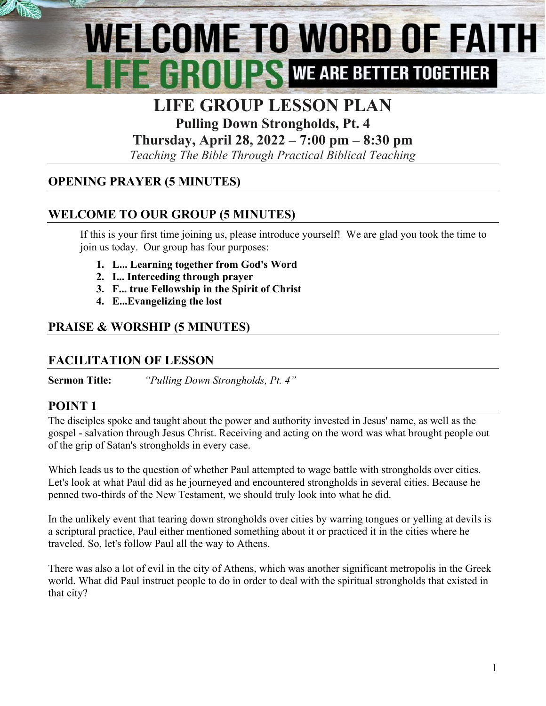# WELCOME TO WORD OF FAITH EEHHIILS WE ARE BETTER TOGETHER

## **LIFE GROUP LESSON PLAN**

**Pulling Down Strongholds, Pt. 4**

**Thursday, April 28, 2022 – 7:00 pm – 8:30 pm**

*Teaching The Bible Through Practical Biblical Teaching*

### **OPENING PRAYER (5 MINUTES)**

### **WELCOME TO OUR GROUP (5 MINUTES)**

If this is your first time joining us, please introduce yourself! We are glad you took the time to join us today. Our group has four purposes:

- **1. L... Learning together from God's Word**
- **2. I... Interceding through prayer**
- **3. F... true Fellowship in the Spirit of Christ**
- **4. E..[.Evangelizing](http://www.christianwitnessingtools.com/) the lost**

### **PRAISE & WORSHIP (5 MINUTES)**

#### **FACILITATION OF LESSON**

**Sermon Title:** *"Pulling Down Strongholds, Pt. 4"*

#### **POINT 1**

The disciples spoke and taught about the power and authority invested in Jesus' name, as well as the gospel - salvation through Jesus Christ. Receiving and acting on the word was what brought people out of the grip of Satan's strongholds in every case.

Which leads us to the question of whether Paul attempted to wage battle with strongholds over cities. Let's look at what Paul did as he journeyed and encountered strongholds in several cities. Because he penned two-thirds of the New Testament, we should truly look into what he did.

In the unlikely event that tearing down strongholds over cities by warring tongues or yelling at devils is a scriptural practice, Paul either mentioned something about it or practiced it in the cities where he traveled. So, let's follow Paul all the way to Athens.

There was also a lot of evil in the city of Athens, which was another significant metropolis in the Greek world. What did Paul instruct people to do in order to deal with the spiritual strongholds that existed in that city?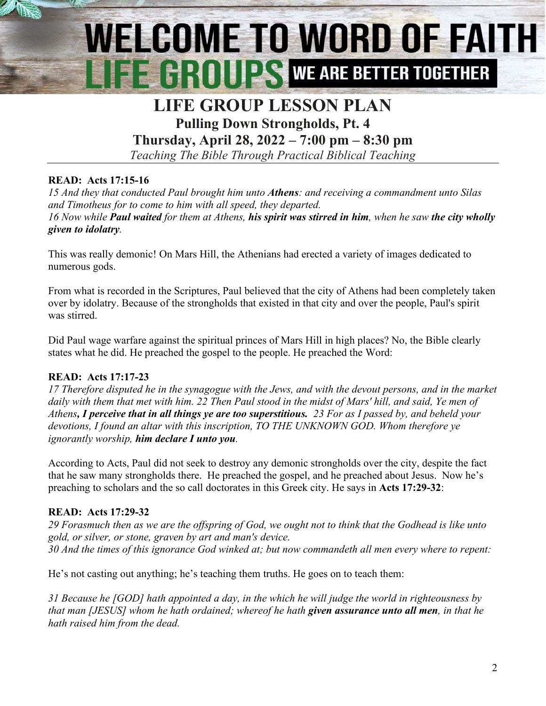# WELCOME TO WORD OF FAITH **THE GROUPS WE ARE BETTER TOGETHER**

### **LIFE GROUP LESSON PLAN Pulling Down Strongholds, Pt. 4**

**Thursday, April 28, 2022 – 7:00 pm – 8:30 pm**

*Teaching The Bible Through Practical Biblical Teaching*

#### **READ: Acts 17:15-16**

*15 And they that conducted Paul brought him unto Athens: and receiving a commandment unto Silas and Timotheus for to come to him with all speed, they departed. 16 Now while Paul waited for them at Athens, his spirit was stirred in him, when he saw the city wholly given to idolatry.*

This was really demonic! On Mars Hill, the Athenians had erected a variety of images dedicated to numerous gods.

From what is recorded in the Scriptures, Paul believed that the city of Athens had been completely taken over by idolatry. Because of the strongholds that existed in that city and over the people, Paul's spirit was stirred.

Did Paul wage warfare against the spiritual princes of Mars Hill in high places? No, the Bible clearly states what he did. He preached the gospel to the people. He preached the Word:

#### **READ: Acts 17:17-23**

*17 Therefore disputed he in the synagogue with the Jews, and with the devout persons, and in the market daily with them that met with him. 22 Then Paul stood in the midst of Mars' hill, and said, Ye men of Athens, I perceive that in all things ye are too superstitious. 23 For as I passed by, and beheld your devotions, I found an altar with this inscription, TO THE UNKNOWN GOD. Whom therefore ye ignorantly worship, him declare I unto you.*

According to Acts, Paul did not seek to destroy any demonic strongholds over the city, despite the fact that he saw many strongholds there. He preached the gospel, and he preached about Jesus. Now he's preaching to scholars and the so call doctorates in this Greek city. He says in **Acts 17:29-32**:

#### **READ: Acts 17:29-32**

*29 Forasmuch then as we are the offspring of God, we ought not to think that the Godhead is like unto gold, or silver, or stone, graven by art and man's device. 30 And the times of this ignorance God winked at; but now commandeth all men every where to repent:* 

He's not casting out anything; he's teaching them truths. He goes on to teach them:

*31 Because he [GOD] hath appointed a day, in the which he will judge the world in righteousness by that man [JESUS] whom he hath ordained; whereof he hath given assurance unto all men, in that he hath raised him from the dead.*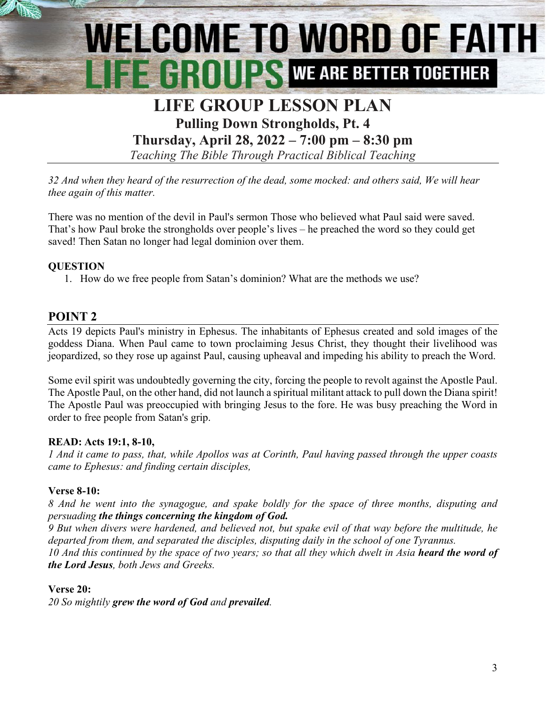# **WELCOME TO WORD OF FAITH** E E HIIIII ES WE ARE BETTER TOGETHER

### **LIFE GROUP LESSON PLAN Pulling Down Strongholds, Pt. 4**

**Thursday, April 28, 2022 – 7:00 pm – 8:30 pm**

*Teaching The Bible Through Practical Biblical Teaching*

*32 And when they heard of the resurrection of the dead, some mocked: and others said, We will hear thee again of this matter.*

There was no mention of the devil in Paul's sermon Those who believed what Paul said were saved. That's how Paul broke the strongholds over people's lives – he preached the word so they could get saved! Then Satan no longer had legal dominion over them.

#### **QUESTION**

1. How do we free people from Satan's dominion? What are the methods we use?

#### **POINT 2**

Acts 19 depicts Paul's ministry in Ephesus. The inhabitants of Ephesus created and sold images of the goddess Diana. When Paul came to town proclaiming Jesus Christ, they thought their livelihood was jeopardized, so they rose up against Paul, causing upheaval and impeding his ability to preach the Word.

Some evil spirit was undoubtedly governing the city, forcing the people to revolt against the Apostle Paul. The Apostle Paul, on the other hand, did not launch a spiritual militant attack to pull down the Diana spirit! The Apostle Paul was preoccupied with bringing Jesus to the fore. He was busy preaching the Word in order to free people from Satan's grip.

#### **READ: Acts 19:1, 8-10,**

*1 And it came to pass, that, while Apollos was at Corinth, Paul having passed through the upper coasts came to Ephesus: and finding certain disciples,*

#### **Verse 8-10:**

*8 And he went into the synagogue, and spake boldly for the space of three months, disputing and persuading the things concerning the kingdom of God.*

*9 But when divers were hardened, and believed not, but spake evil of that way before the multitude, he departed from them, and separated the disciples, disputing daily in the school of one Tyrannus.* 

*10 And this continued by the space of two years; so that all they which dwelt in Asia heard the word of the Lord Jesus, both Jews and Greeks.*

#### **Verse 20:**

*20 So mightily grew the word of God and prevailed.*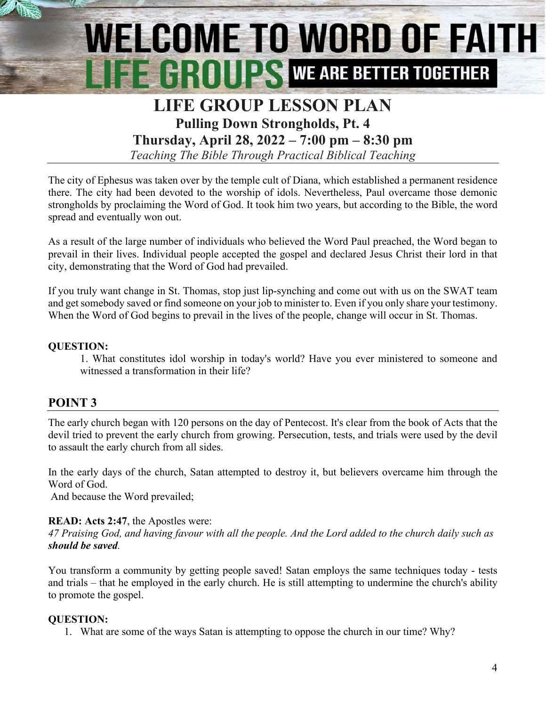# **WELCOME TO WORD OF FAITH EXAMPLE 24** WE ARE BETTER TOGETHER

## **LIFE GROUP LESSON PLAN Pulling Down Strongholds, Pt. 4**

**Thursday, April 28, 2022 – 7:00 pm – 8:30 pm**

*Teaching The Bible Through Practical Biblical Teaching*

The city of Ephesus was taken over by the temple cult of Diana, which established a permanent residence there. The city had been devoted to the worship of idols. Nevertheless, Paul overcame those demonic strongholds by proclaiming the Word of God. It took him two years, but according to the Bible, the word spread and eventually won out.

As a result of the large number of individuals who believed the Word Paul preached, the Word began to prevail in their lives. Individual people accepted the gospel and declared Jesus Christ their lord in that city, demonstrating that the Word of God had prevailed.

If you truly want change in St. Thomas, stop just lip-synching and come out with us on the SWAT team and get somebody saved or find someone on your job to minister to. Even if you only share your testimony. When the Word of God begins to prevail in the lives of the people, change will occur in St. Thomas.

#### **QUESTION:**

1. What constitutes idol worship in today's world? Have you ever ministered to someone and witnessed a transformation in their life?

#### **POINT 3**

The early church began with 120 persons on the day of Pentecost. It's clear from the book of Acts that the devil tried to prevent the early church from growing. Persecution, tests, and trials were used by the devil to assault the early church from all sides.

In the early days of the church, Satan attempted to destroy it, but believers overcame him through the Word of God.

And because the Word prevailed;

#### **READ: Acts 2:47**, the Apostles were:

*47 Praising God, and having favour with all the people. And the Lord added to the church daily such as should be saved.*

You transform a community by getting people saved! Satan employs the same techniques today - tests and trials – that he employed in the early church. He is still attempting to undermine the church's ability to promote the gospel.

#### **QUESTION:**

1. What are some of the ways Satan is attempting to oppose the church in our time? Why?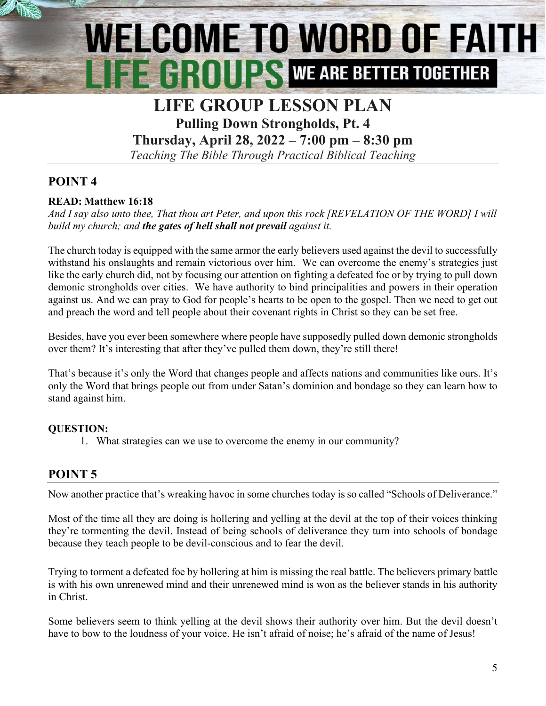# **WELCOME TO WORD OF FAITH EXAMPLE AND REARE BETTER TOGETHER**

## **LIFE GROUP LESSON PLAN**

**Pulling Down Strongholds, Pt. 4**

**Thursday, April 28, 2022 – 7:00 pm – 8:30 pm**

*Teaching The Bible Through Practical Biblical Teaching*

#### **POINT 4**

#### **READ: Matthew 16:18**

*And I say also unto thee, That thou art Peter, and upon this rock [REVELATION OF THE WORD] I will build my church; and the gates of hell shall not prevail against it.*

The church today is equipped with the same armor the early believers used against the devil to successfully withstand his onslaughts and remain victorious over him. We can overcome the enemy's strategies just like the early church did, not by focusing our attention on fighting a defeated foe or by trying to pull down demonic strongholds over cities. We have authority to bind principalities and powers in their operation against us. And we can pray to God for people's hearts to be open to the gospel. Then we need to get out and preach the word and tell people about their covenant rights in Christ so they can be set free.

Besides, have you ever been somewhere where people have supposedly pulled down demonic strongholds over them? It's interesting that after they've pulled them down, they're still there!

That's because it's only the Word that changes people and affects nations and communities like ours. It's only the Word that brings people out from under Satan's dominion and bondage so they can learn how to stand against him.

#### **QUESTION:**

1. What strategies can we use to overcome the enemy in our community?

#### **POINT 5**

Now another practice that's wreaking havoc in some churches today is so called "Schools of Deliverance."

Most of the time all they are doing is hollering and yelling at the devil at the top of their voices thinking they're tormenting the devil. Instead of being schools of deliverance they turn into schools of bondage because they teach people to be devil-conscious and to fear the devil.

Trying to torment a defeated foe by hollering at him is missing the real battle. The believers primary battle is with his own unrenewed mind and their unrenewed mind is won as the believer stands in his authority in Christ.

Some believers seem to think yelling at the devil shows their authority over him. But the devil doesn't have to bow to the loudness of your voice. He isn't afraid of noise; he's afraid of the name of Jesus!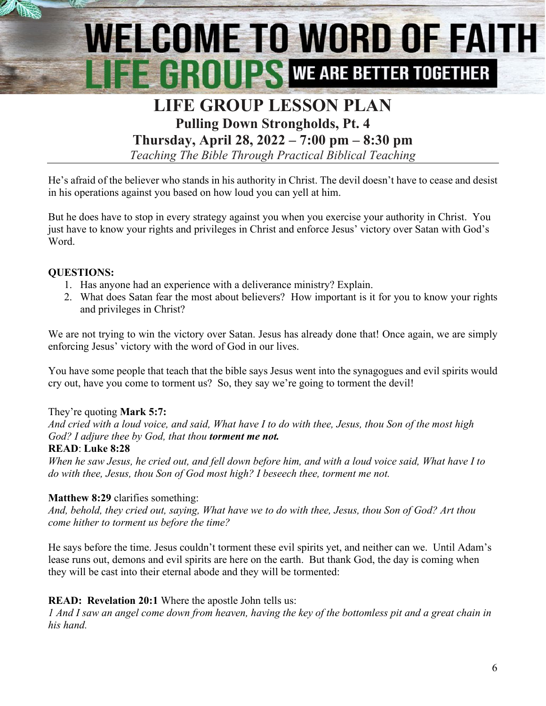# **WELCOME TO WORD OF FAITH EXAMPLE 24** WE ARE BETTER TOGETHER

### **LIFE GROUP LESSON PLAN Pulling Down Strongholds, Pt. 4**

**Thursday, April 28, 2022 – 7:00 pm – 8:30 pm**

*Teaching The Bible Through Practical Biblical Teaching*

He's afraid of the believer who stands in his authority in Christ. The devil doesn't have to cease and desist in his operations against you based on how loud you can yell at him.

But he does have to stop in every strategy against you when you exercise your authority in Christ. You just have to know your rights and privileges in Christ and enforce Jesus' victory over Satan with God's Word.

#### **QUESTIONS:**

- 1. Has anyone had an experience with a deliverance ministry? Explain.
- 2. What does Satan fear the most about believers? How important is it for you to know your rights and privileges in Christ?

We are not trying to win the victory over Satan. Jesus has already done that! Once again, we are simply enforcing Jesus' victory with the word of God in our lives.

You have some people that teach that the bible says Jesus went into the synagogues and evil spirits would cry out, have you come to torment us? So, they say we're going to torment the devil!

#### They're quoting **Mark 5:7:**

*And cried with a loud voice, and said, What have I to do with thee, Jesus, thou Son of the most high God? I adjure thee by God, that thou torment me not.*

#### **READ**: **Luke 8:28**

*When he saw Jesus, he cried out, and fell down before him, and with a loud voice said, What have I to do with thee, Jesus, thou Son of God most high? I beseech thee, torment me not.*

#### **Matthew 8:29** clarifies something:

*And, behold, they cried out, saying, What have we to do with thee, Jesus, thou Son of God? Art thou come hither to torment us before the time?*

He says before the time. Jesus couldn't torment these evil spirits yet, and neither can we. Until Adam's lease runs out, demons and evil spirits are here on the earth. But thank God, the day is coming when they will be cast into their eternal abode and they will be tormented:

#### **READ: Revelation 20:1** Where the apostle John tells us:

*1 And I saw an angel come down from heaven, having the key of the bottomless pit and a great chain in his hand.*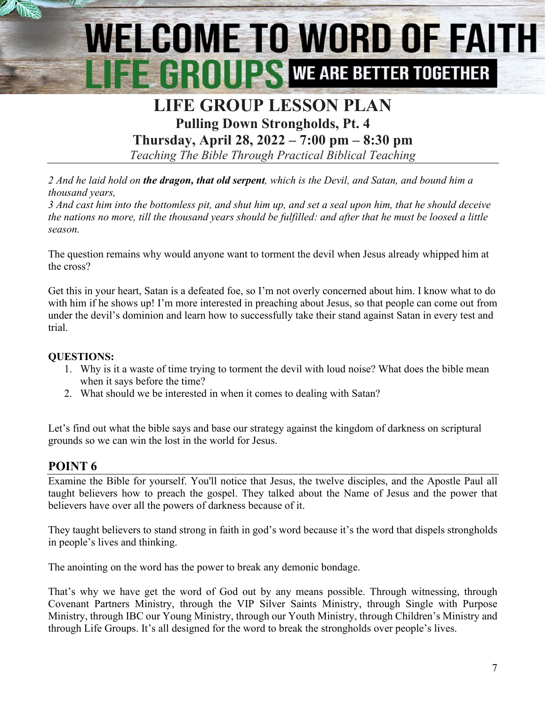# **WELCOME TO WORD OF FAITH FE GROUPS WE ARE BETTER TOGETHER**

# **LIFE GROUP LESSON PLAN**

**Pulling Down Strongholds, Pt. 4 Thursday, April 28, 2022 – 7:00 pm – 8:30 pm**

*Teaching The Bible Through Practical Biblical Teaching*

*2 And he laid hold on the dragon, that old serpent, which is the Devil, and Satan, and bound him a thousand years,* 

*3 And cast him into the bottomless pit, and shut him up, and set a seal upon him, that he should deceive the nations no more, till the thousand years should be fulfilled: and after that he must be loosed a little season.*

The question remains why would anyone want to torment the devil when Jesus already whipped him at the cross?

Get this in your heart, Satan is a defeated foe, so I'm not overly concerned about him. I know what to do with him if he shows up! I'm more interested in preaching about Jesus, so that people can come out from under the devil's dominion and learn how to successfully take their stand against Satan in every test and trial.

#### **QUESTIONS:**

- 1. Why is it a waste of time trying to torment the devil with loud noise? What does the bible mean when it says before the time?
- 2. What should we be interested in when it comes to dealing with Satan?

Let's find out what the bible says and base our strategy against the kingdom of darkness on scriptural grounds so we can win the lost in the world for Jesus.

#### **POINT 6**

Examine the Bible for yourself. You'll notice that Jesus, the twelve disciples, and the Apostle Paul all taught believers how to preach the gospel. They talked about the Name of Jesus and the power that believers have over all the powers of darkness because of it.

They taught believers to stand strong in faith in god's word because it's the word that dispels strongholds in people's lives and thinking.

The anointing on the word has the power to break any demonic bondage.

That's why we have get the word of God out by any means possible. Through witnessing, through Covenant Partners Ministry, through the VIP Silver Saints Ministry, through Single with Purpose Ministry, through IBC our Young Ministry, through our Youth Ministry, through Children's Ministry and through Life Groups. It's all designed for the word to break the strongholds over people's lives.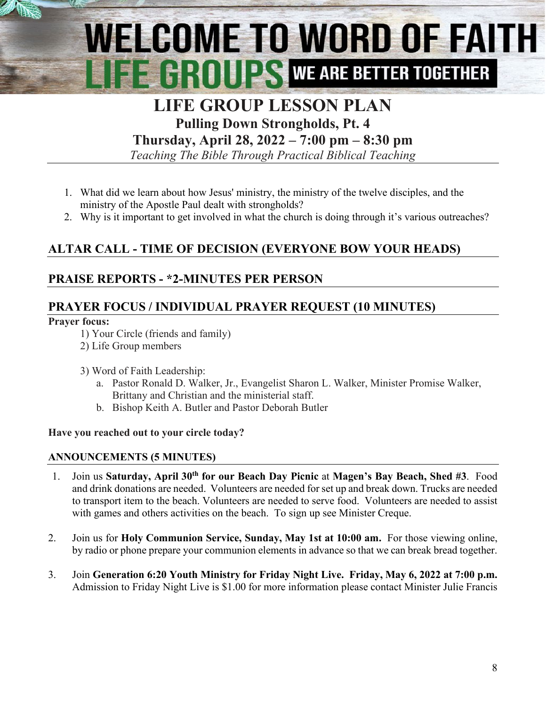# **WELCOME TO WORD OF FAITH EXAMPLE AND THE SETTER TOGETHER**

## **LIFE GROUP LESSON PLAN**

**Pulling Down Strongholds, Pt. 4**

**Thursday, April 28, 2022 – 7:00 pm – 8:30 pm**

*Teaching The Bible Through Practical Biblical Teaching*

- 1. What did we learn about how Jesus' ministry, the ministry of the twelve disciples, and the ministry of the Apostle Paul dealt with strongholds?
- 2. Why is it important to get involved in what the church is doing through it's various outreaches?

### **ALTAR CALL - TIME OF DECISION (EVERYONE BOW YOUR HEADS)**

#### **PRAISE REPORTS - \*2-MINUTES PER PERSON**

#### **PRAYER FOCUS / INDIVIDUAL PRAYER REQUEST (10 MINUTES)**

#### **Prayer focus:**

- 1) Your Circle (friends and family)
- 2) Life Group members
- 3) Word of Faith Leadership:
	- a. Pastor Ronald D. Walker, Jr., Evangelist Sharon L. Walker, Minister Promise Walker, Brittany and Christian and the ministerial staff.
	- b. Bishop Keith A. Butler and Pastor Deborah Butler

#### **Have you reached out to your circle today?**

#### **ANNOUNCEMENTS (5 MINUTES)**

- 1. Join us **Saturday, April 30th for our Beach Day Picnic** at **Magen's Bay Beach, Shed #3**. Food and drink donations are needed. Volunteers are needed for set up and break down. Trucks are needed to transport item to the beach. Volunteers are needed to serve food. Volunteers are needed to assist with games and others activities on the beach. To sign up see Minister Creque.
- 2. Join us for **Holy Communion Service, Sunday, May 1st at 10:00 am.** For those viewing online, by radio or phone prepare your communion elements in advance so that we can break bread together.
- 3. Join **Generation 6:20 Youth Ministry for Friday Night Live. Friday, May 6, 2022 at 7:00 p.m.** Admission to Friday Night Live is \$1.00 for more information please contact Minister Julie Francis